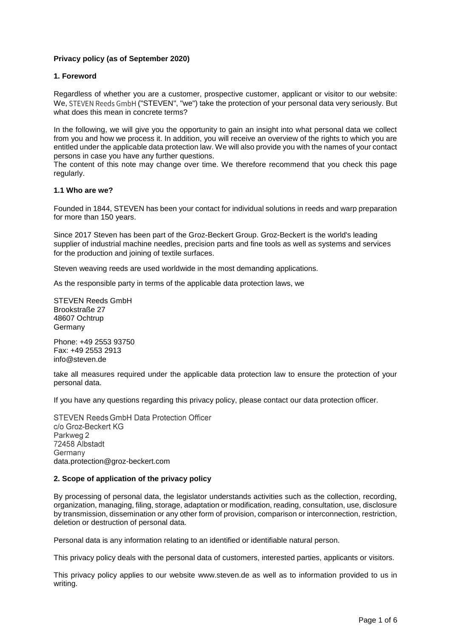# **Privacy policy (as of September 2020)**

# **1. Foreword**

Regardless of whether you are a customer, prospective customer, applicant or visitor to our website: We, STEVEN Reeds GmbH ("STEVEN", "we") take the protection of your personal data very seriously. But what does this mean in concrete terms?

In the following, we will give you the opportunity to gain an insight into what personal data we collect from you and how we process it. In addition, you will receive an overview of the rights to which you are entitled under the applicable data protection law. We will also provide you with the names of your contact persons in case you have any further questions.

The content of this note may change over time. We therefore recommend that you check this page regularly.

## **1.1 Who are we?**

Founded in 1844, STEVEN has been your contact for individual solutions in reeds and warp preparation for more than 150 years.

Since 2017 Steven has been part of the Groz-Beckert Group. [Groz-Beckert i](http://groz-beckert.de/)s the world's leading supplier of industrial machine needles, precision parts and fine tools as well as systems and services for the production and joining of textile surfaces.

Steven weaving reeds are used worldwide in the most demanding applications.

As the responsible party in terms of the applicable data protection laws, we

STEVEN Reeds GmbH Brookstraße 27 48607 Ochtrup Germany

Phone: +49 2553 93750 Fax: +49 2553 2913 info@steven.de

take all measures required under the applicable data protection law to ensure the protection of your personal data.

If you have any questions regarding this privacy policy, please contact our data protection officer.

**STEVEN Reeds GmbH Data Protection Officer** c/o Groz-Beckert KG Parkweg 2 72458 Albstadt Germany data.protection@groz-beckert.com

## **2. Scope of application of the privacy policy**

By processing of personal data, the legislator understands activities such as the collection, recording, organization, managing, filing, storage, adaptation or modification, reading, consultation, use, disclosure by transmission, dissemination or any other form of provision, comparison or interconnection, restriction, deletion or destruction of personal data.

Personal data is any information relating to an identified or identifiable natural person.

This privacy policy deals with the personal data of customers, interested parties, applicants or visitors.

This privacy policy applies to our website www.steven.de as well as to information provided to us in writing.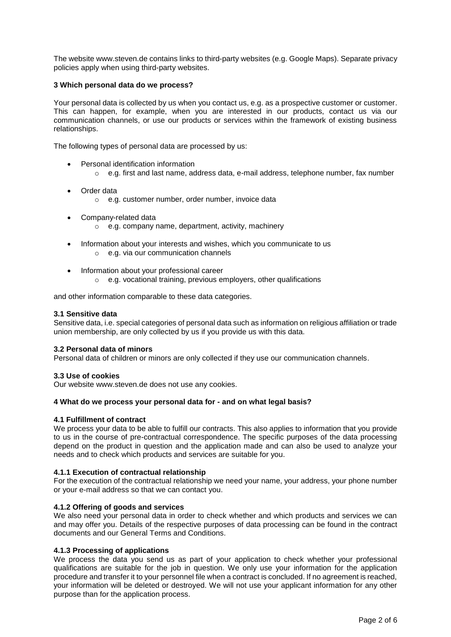The website www.steven.de contains links to third-party websites (e.g. Google Maps). Separate privacy policies apply when using third-party websites.

## **3 Which personal data do we process?**

Your personal data is collected by us when you contact us, e.g. as a prospective customer or customer. This can happen, for example, when you are interested in our products, contact us via our communication channels, or use our products or services within the framework of existing business relationships.

The following types of personal data are processed by us:

- Personal identification information
	- $\circ$  e.g. first and last name, address data, e-mail address, telephone number, fax number
- Order data
	- o e.g. customer number, order number, invoice data
- Company-related data o e.g. company name, department, activity, machinery
- Information about your interests and wishes, which you communicate to us o e.g. via our communication channels
- Information about your professional career
	- o e.g. vocational training, previous employers, other qualifications

and other information comparable to these data categories.

#### **3.1 Sensitive data**

Sensitive data, i.e. special categories of personal data such as information on religious affiliation or trade union membership, are only collected by us if you provide us with this data.

#### **3.2 Personal data of minors**

Personal data of children or minors are only collected if they use our communication channels.

#### **3.3 Use of cookies**

Our website www.steven.de does not use any cookies.

#### **4 What do we process your personal data for - and on what legal basis?**

### **4.1 Fulfillment of contract**

We process your data to be able to fulfill our contracts. This also applies to information that you provide to us in the course of pre-contractual correspondence. The specific purposes of the data processing depend on the product in question and the application made and can also be used to analyze your needs and to check which products and services are suitable for you.

## **4.1.1 Execution of contractual relationship**

For the execution of the contractual relationship we need your name, your address, your phone number or your e-mail address so that we can contact you.

## **4.1.2 Offering of goods and services**

We also need your personal data in order to check whether and which products and services we can and may offer you. Details of the respective purposes of data processing can be found in the contract documents and our General Terms and Conditions.

## **4.1.3 Processing of applications**

We process the data you send us as part of your application to check whether your professional qualifications are suitable for the job in question. We only use your information for the application procedure and transfer it to your personnel file when a contract is concluded. If no agreement is reached, your information will be deleted or destroyed. We will not use your applicant information for any other purpose than for the application process.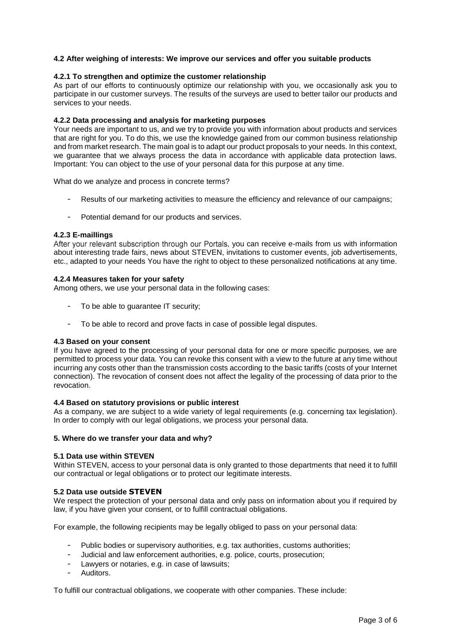# **4.2 After weighing of interests: We improve our services and offer you suitable products**

### **4.2.1 To strengthen and optimize the customer relationship**

As part of our efforts to continuously optimize our relationship with you, we occasionally ask you to participate in our customer surveys. The results of the surveys are used to better tailor our products and services to your needs.

### **4.2.2 Data processing and analysis for marketing purposes**

Your needs are important to us, and we try to provide you with information about products and services that are right for you. To do this, we use the knowledge gained from our common business relationship and from market research. The main goal is to adapt our product proposals to your needs. In this context, we guarantee that we always process the data in accordance with applicable data protection laws. Important: You can object to the use of your personal data for this purpose at any time.

What do we analyze and process in concrete terms?

- Results of our marketing activities to measure the efficiency and relevance of our campaigns;
- Potential demand for our products and services.

### **4.2.3 E-mailIings**

After your relevant subscription through our Portals, you can receive e-mails from us with information about interesting trade fairs, news about STEVEN, invitations to customer events, job advertisements, etc., adapted to your needs You have the right to object to these personalized notifications at any time.

### **4.2.4 Measures taken for your safety**

Among others, we use your personal data in the following cases:

- To be able to guarantee IT security;
- To be able to record and prove facts in case of possible legal disputes.

#### **4.3 Based on your consent**

If you have agreed to the processing of your personal data for one or more specific purposes, we are permitted to process your data. You can revoke this consent with a view to the future at any time without incurring any costs other than the transmission costs according to the basic tariffs (costs of your Internet connection). The revocation of consent does not affect the legality of the processing of data prior to the revocation.

## **4.4 Based on statutory provisions or public interest**

As a company, we are subject to a wide variety of legal requirements (e.g. concerning tax legislation). In order to comply with our legal obligations, we process your personal data.

# **5. Where do we transfer your data and why?**

## **5.1 Data use within STEVEN**

Within STEVEN, access to your personal data is only granted to those departments that need it to fulfill our contractual or legal obligations or to protect our legitimate interests.

## **5.2 Data use outside STEVEN**

We respect the protection of your personal data and only pass on information about you if required by law, if you have given your consent, or to fulfill contractual obligations.

For example, the following recipients may be legally obliged to pass on your personal data:

- Public bodies or supervisory authorities, e.g. tax authorities, customs authorities;
- Judicial and law enforcement authorities, e.g. police, courts, prosecution;
- Lawyers or notaries, e.g. in case of lawsuits;
- Auditors.

To fulfill our contractual obligations, we cooperate with other companies. These include: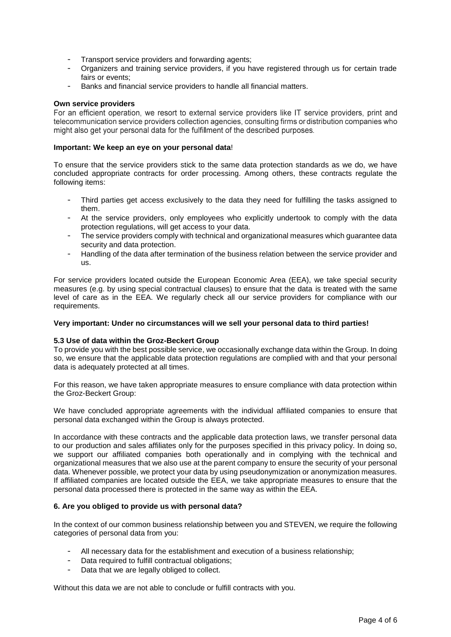- Transport service providers and forwarding agents;
- Organizers and training service providers, if you have registered through us for certain trade fairs or events;
- Banks and financial service providers to handle all financial matters.

### **Own service providers**

For an efficient operation, we resort to external service providers like IT service providers, print and telecommunication service providers collection agencies, consulting firms or distribution companies who might also get your personal data for the fulfillment of the described purposes.

## **Important: We keep an eye on your personal data**!

To ensure that the service providers stick to the same data protection standards as we do, we have concluded appropriate contracts for order processing. Among others, these contracts regulate the following items:

- Third parties get access exclusively to the data they need for fulfilling the tasks assigned to them.
- At the service providers, only employees who explicitly undertook to comply with the data protection regulations, will get access to your data.
- The service providers comply with technical and organizational measures which guarantee data security and data protection.
- Handling of the data after termination of the business relation between the service provider and us.

For service providers located outside the European Economic Area (EEA), we take special security measures (e.g. by using special contractual clauses) to ensure that the data is treated with the same level of care as in the EEA. We regularly check all our service providers for compliance with our requirements.

## **Very important: Under no circumstances will we sell your personal data to third parties!**

## **5.3 Use of data within the Groz-Beckert Group**

To provide you with the best possible service, we occasionally exchange data within the Group. In doing so, we ensure that the applicable data protection regulations are complied with and that your personal data is adequately protected at all times.

For this reason, we have taken appropriate measures to ensure compliance with data protection within the Groz-Beckert Group:

We have concluded appropriate agreements with the individual affiliated companies to ensure that personal data exchanged within the Group is always protected.

In accordance with these contracts and the applicable data protection laws, we transfer personal data to our production and sales affiliates only for the purposes specified in this privacy policy. In doing so, we support our affiliated companies both operationally and in complying with the technical and organizational measures that we also use at the parent company to ensure the security of your personal data. Whenever possible, we protect your data by using pseudonymization or anonymization measures. If affiliated companies are located outside the EEA, we take appropriate measures to ensure that the personal data processed there is protected in the same way as within the EEA.

## **6. Are you obliged to provide us with personal data?**

In the context of our common business relationship between you and STEVEN, we require the following categories of personal data from you:

- All necessary data for the establishment and execution of a business relationship;
- Data required to fulfill contractual obligations:
- Data that we are legally obliged to collect.

Without this data we are not able to conclude or fulfill contracts with you.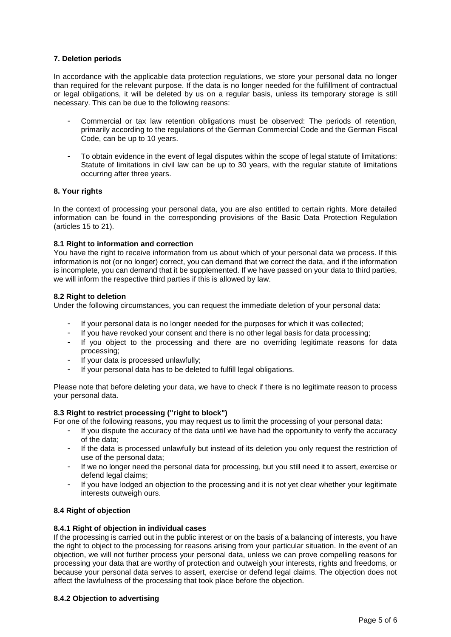# **7. Deletion periods**

In accordance with the applicable data protection regulations, we store your personal data no longer than required for the relevant purpose. If the data is no longer needed for the fulfillment of contractual or legal obligations, it will be deleted by us on a regular basis, unless its temporary storage is still necessary. This can be due to the following reasons:

- Commercial or tax law retention obligations must be observed: The periods of retention, primarily according to the regulations of the German Commercial Code and the German Fiscal Code, can be up to 10 years.
- To obtain evidence in the event of legal disputes within the scope of legal statute of limitations: Statute of limitations in civil law can be up to 30 years, with the regular statute of limitations occurring after three years.

## **8. Your rights**

In the context of processing your personal data, you are also entitled to certain rights. More detailed information can be found in the corresponding provisions of the Basic Data Protection Regulation (articles 15 to 21).

# **8.1 Right to information and correction**

You have the right to receive information from us about which of your personal data we process. If this information is not (or no longer) correct, you can demand that we correct the data, and if the information is incomplete, you can demand that it be supplemented. If we have passed on your data to third parties, we will inform the respective third parties if this is allowed by law.

## **8.2 Right to deletion**

Under the following circumstances, you can request the immediate deletion of your personal data:

- If your personal data is no longer needed for the purposes for which it was collected;
- If you have revoked your consent and there is no other legal basis for data processing;
- If you object to the processing and there are no overriding legitimate reasons for data processing;
- If your data is processed unlawfully;
- If your personal data has to be deleted to fulfill legal obligations.

Please note that before deleting your data, we have to check if there is no legitimate reason to process your personal data.

## **8.3 Right to restrict processing ("right to block")**

- For one of the following reasons, you may request us to limit the processing of your personal data:
	- If you dispute the accuracy of the data until we have had the opportunity to verify the accuracy of the data;
	- If the data is processed unlawfully but instead of its deletion you only request the restriction of use of the personal data;
	- If we no longer need the personal data for processing, but you still need it to assert, exercise or defend legal claims;
	- If you have lodged an objection to the processing and it is not yet clear whether your legitimate interests outweigh ours.

# **8.4 Right of objection**

## **8.4.1 Right of objection in individual cases**

If the processing is carried out in the public interest or on the basis of a balancing of interests, you have the right to object to the processing for reasons arising from your particular situation. In the event of an objection, we will not further process your personal data, unless we can prove compelling reasons for processing your data that are worthy of protection and outweigh your interests, rights and freedoms, or because your personal data serves to assert, exercise or defend legal claims. The objection does not affect the lawfulness of the processing that took place before the objection.

## **8.4.2 Objection to advertising**